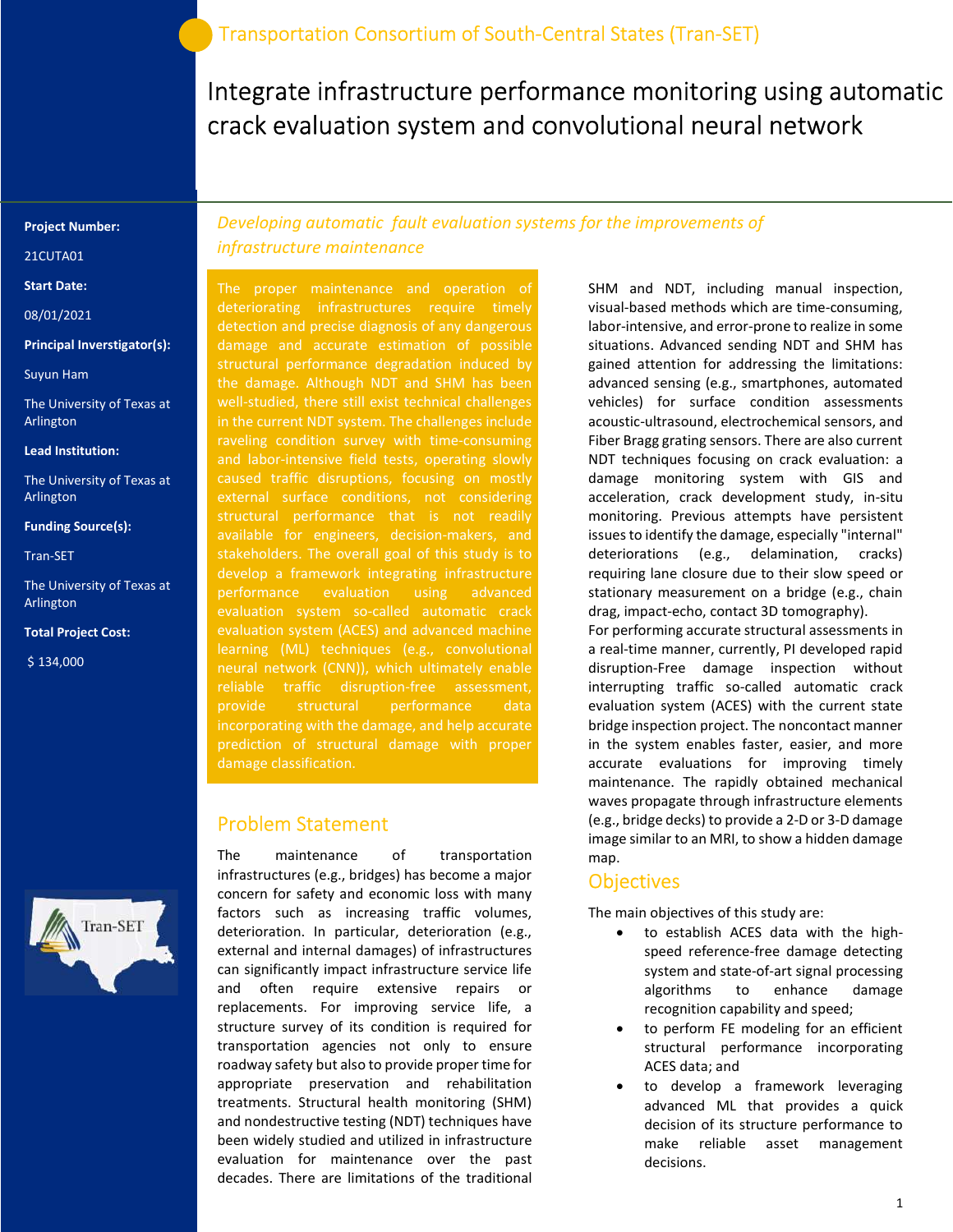Integrate infrastructure performance monitoring using automatic crack evaluation system and convolutional neural network

#### Project Number:

21CUTA01

Start Date:

08/01/2021

#### Principal Inverstigator(s):

Suyun Ham

The University of Texas at Arlington

#### Lead Institution:

The University of Texas at Arlington

#### Funding Source(s):

Tran-SET

The University of Texas at Arlington

#### Total Project Cost:

\$ 134,000



Developing automatic fault evaluation systems for the improvements of infrastructure maintenance

The proper maintenance and operation of deteriorating infrastructures require timely detection and precise diagnosis of any dangerous damage and accurate estimation of possible structural performance degradation induced by the damage. Although NDT and SHM has been well-studied, there still exist technical challenges in the current NDT system. The challenges include raveling condition survey with time-consuming and labor-intensive field tests, operating slowly caused traffic disruptions, focusing on mostly external surface conditions, not considering structural performance that is not readily available for engineers, decision-makers, and develop a framework integrating infrastructure performance evaluation using advanced evaluation system so-called automatic crack learning (ML) techniques (e.g., convolutional reliable traffic disruption-free assessment, provide structural performance data incorporating with the damage, and help accurate prediction of structural damage with proper damage classification.

### Problem Statement

The maintenance of transportation infrastructures (e.g., bridges) has become a major concern for safety and economic loss with many factors such as increasing traffic volumes, deterioration. In particular, deterioration (e.g., external and internal damages) of infrastructures can significantly impact infrastructure service life and often require extensive repairs or replacements. For improving service life, a structure survey of its condition is required for transportation agencies not only to ensure roadway safety but also to provide proper time for appropriate preservation and rehabilitation treatments. Structural health monitoring (SHM) and nondestructive testing (NDT) techniques have been widely studied and utilized in infrastructure evaluation for maintenance over the past decades. There are limitations of the traditional

SHM and NDT, including manual inspection, visual-based methods which are time-consuming, labor-intensive, and error-prone to realize in some situations. Advanced sending NDT and SHM has gained attention for addressing the limitations: advanced sensing (e.g., smartphones, automated vehicles) for surface condition assessments acoustic-ultrasound, electrochemical sensors, and Fiber Bragg grating sensors. There are also current NDT techniques focusing on crack evaluation: a damage monitoring system with GIS and acceleration, crack development study, in-situ monitoring. Previous attempts have persistent issues to identify the damage, especially "internal" deteriorations (e.g., delamination, cracks) requiring lane closure due to their slow speed or stationary measurement on a bridge (e.g., chain drag, impact-echo, contact 3D tomography).

For performing accurate structural assessments in a real-time manner, currently, PI developed rapid disruption-Free damage inspection without interrupting traffic so-called automatic crack evaluation system (ACES) with the current state bridge inspection project. The noncontact manner in the system enables faster, easier, and more accurate evaluations for improving timely maintenance. The rapidly obtained mechanical waves propagate through infrastructure elements (e.g., bridge decks) to provide a 2-D or 3-D damage image similar to an MRI, to show a hidden damage map.

## **Objectives**

The main objectives of this study are:

- to establish ACES data with the highspeed reference-free damage detecting system and state-of-art signal processing algorithms to enhance damage recognition capability and speed;
- to perform FE modeling for an efficient structural performance incorporating ACES data; and
- to develop a framework leveraging advanced ML that provides a quick decision of its structure performance to make reliable asset management decisions.